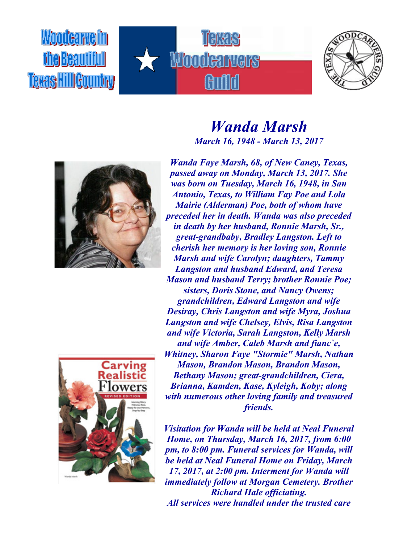Woodcarveim **fhe Beautifull Texas Hill Gountry** 









*Wanda Marsh March 16, 1948 - March 13, 2017*

*Wanda Faye Marsh, 68, of New Caney, Texas, passed away on Monday, March 13, 2017. She was born on Tuesday, March 16, 1948, in San Antonio, Texas, to William Fay Poe and Lola Mairie (Alderman) Poe, both of whom have preceded her in death. Wanda was also preceded in death by her husband, Ronnie Marsh, Sr., great-grandbaby, Bradley Langston. Left to cherish her memory is her loving son, Ronnie Marsh and wife Carolyn; daughters, Tammy Langston and husband Edward, and Teresa Mason and husband Terry; brother Ronnie Poe; sisters, Doris Stone, and Nancy Owens; grandchildren, Edward Langston and wife Desiray, Chris Langston and wife Myra, Joshua Langston and wife Chelsey, Elvis, Risa Langston and wife Victoria, Sarah Langston, Kelly Marsh and wife Amber, Caleb Marsh and fianc`e, Whitney, Sharon Faye "Stormie" Marsh, Nathan Mason, Brandon Mason, Brandon Mason, Bethany Mason; great-grandchildren, Ciera, Brianna, Kamden, Kase, Kyleigh, Koby; along with numerous other loving family and treasured friends.*

*Visitation for Wanda will be held at Neal Funeral Home, on Thursday, March 16, 2017, from 6:00 pm, to 8:00 pm. Funeral services for Wanda, will be held at Neal Funeral Home on Friday, March 17, 2017, at 2:00 pm. Interment for Wanda will immediately follow at Morgan Cemetery. Brother Richard Hale officiating. All services were handled under the trusted care*